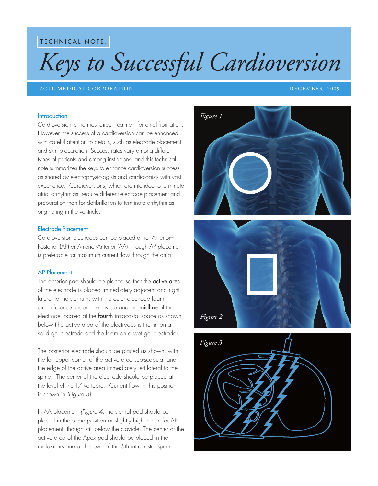**TECHNICAL NOTE:** 

# *Keys to Successful Cardioversion*

## ZOLL MEDICAL CORPORATION DECEMBER 2009

#### Introduction

Cardioversion is the most direct treatment for atrial fibrillation. However, the success of a cardioversion can be enhanced with careful attention to details, such as electrode placement and skin preparation. Success rates vary among different types of patients and among institutions, and this technical note summarizes the keys to enhance cardioversion success as shared by electrophysiologists and cardiologists with vast experience. Cardioversions, which are intended to terminate atrial arrhythmias, require different electrode placement and preparation than for defibrillation to terminate arrhythmias originating in the ventricle.

## Electrode Placement

Cardioversion electrodes can be placed either Anterior– Posterior (AP) or Anterior-Anterior (AA), though AP placement is preferable for maximum current flow through the atria.

## AP Placement

The anterior pad should be placed so that the active area of the electrode is placed immediately adjacent and right lateral to the sternum, with the outer electrode foam circumference under the clavicle and the midline of the electrode located at the **fourth** intracostal space as shown below (the active area of the electrodes is the tin on a solid gel electrode and the foam on a wet gel electrode).

The posterior electrode should be placed as shown, with the left upper corner of the active area sub-scapular and the edge of the active area immediately left lateral to the spine. The center of the electrode should be placed at the level of the T7 vertebra. Current flow in this position is shown in *(Figure 3)*.

In AA placement *(Figure 4)* the sternal pad should be placed in the same position or slightly higher than for AP placement, though still below the clavicle. The center of the active area of the Apex pad should be placed in the midaxillary line at the level of the 5th intracostal space.